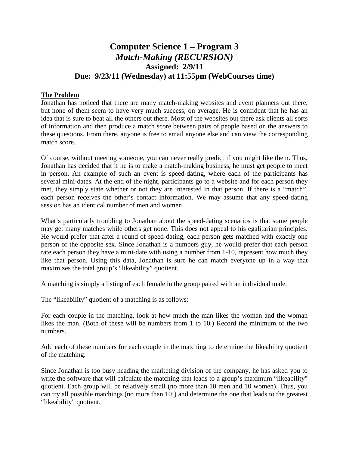# **Computer Science 1 – Program 3** *Match-Making (RECURSION)* **Assigned: 2/9/11 Due: 9/23/11 (Wednesday) at 11:55pm (WebCourses time)**

### **The Problem**

Jonathan has noticed that there are many match-making websites and event planners out there, but none of them seem to have very much success, on average. He is confident that he has an idea that is sure to beat all the others out there. Most of the websites out there ask clients all sorts of information and then produce a match score between pairs of people based on the answers to these questions. From there, anyone is free to email anyone else and can view the corresponding match score.

Of course, without meeting someone, you can never really predict if you might like them. Thus, Jonathan has decided that if he is to make a match-making business, he must get people to meet in person. An example of such an event is speed-dating, where each of the participants has several mini-dates. At the end of the night, participants go to a website and for each person they met, they simply state whether or not they are interested in that person. If there is a "match", each person receives the other's contact information. We may assume that any speed-dating session has an identical number of men and women.

What's particularly troubling to Jonathan about the speed-dating scenarios is that some people may get many matches while others get none. This does not appeal to his egalitarian principles. He would prefer that after a round of speed-dating, each person gets matched with exactly one person of the opposite sex. Since Jonathan is a numbers guy, he would prefer that each person rate each person they have a mini-date with using a number from 1-10, represent how much they like that person. Using this data, Jonathan is sure he can match everyone up in a way that maximizes the total group's "likeability" quotient.

A matching is simply a listing of each female in the group paired with an individual male.

The "likeability" quotient of a matching is as follows:

For each couple in the matching, look at how much the man likes the woman and the woman likes the man. (Both of these will be numbers from 1 to 10.) Record the minimum of the two numbers.

Add each of these numbers for each couple in the matching to determine the likeability quotient of the matching.

Since Jonathan is too busy heading the marketing division of the company, he has asked you to write the software that will calculate the matching that leads to a group's maximum "likeability" quotient. Each group will be relatively small (no more than 10 men and 10 women). Thus, you can try all possible matchings (no more than 10!) and determine the one that leads to the greatest "likeability" quotient.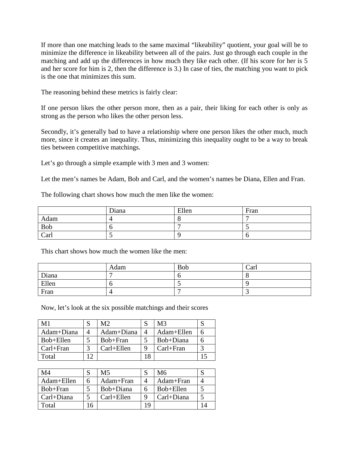If more than one matching leads to the same maximal "likeability" quotient, your goal will be to minimize the difference in likeability between all of the pairs. Just go through each couple in the matching and add up the differences in how much they like each other. (If his score for her is 5 and her score for him is 2, then the difference is 3.) In case of ties, the matching you want to pick is the one that minimizes this sum.

The reasoning behind these metrics is fairly clear:

If one person likes the other person more, then as a pair, their liking for each other is only as strong as the person who likes the other person less.

Secondly, it's generally bad to have a relationship where one person likes the other much, much more, since it creates an inequality. Thus, minimizing this inequality ought to be a way to break ties between competitive matchings.

Let's go through a simple example with 3 men and 3 women:

Let the men's names be Adam, Bob and Carl, and the women's names be Diana, Ellen and Fran.

The following chart shows how much the men like the women:

|      | Diana | Ellen | Fran |
|------|-------|-------|------|
| Adam |       |       |      |
| Bob  |       |       |      |
| Carl |       |       |      |

This chart shows how much the women like the men:

|       | Adam | <b>Bob</b>    | Carl |
|-------|------|---------------|------|
| Diana |      |               |      |
| Ellen |      | $\sim$ $\sim$ |      |
| Fran  |      |               | ~    |

Now, let's look at the six possible matchings and their scores

| M1            |   | M2           |    | M3            |  |
|---------------|---|--------------|----|---------------|--|
| Adam+Diana    |   | Adam+Diana   |    | Adam+Ellen    |  |
| Bob+Ellen     |   | Bob+Fran     |    | Bob+Diana     |  |
| $Carl + Fran$ |   | $Carl+Ellen$ |    | $Carl + Fran$ |  |
| Total         | ◠ |              | 18 |               |  |

| M4         |   | Μ5             |    | M6         |  |
|------------|---|----------------|----|------------|--|
| Adam+Ellen |   | Adam+Fran      |    | Adam+Fran  |  |
| Bob+Fran   |   | Bob+Diana      |    | Bob+Ellen  |  |
| Carl+Diana |   | $Carl + Ellen$ |    | Carl+Diana |  |
| Total      | h |                | 19 |            |  |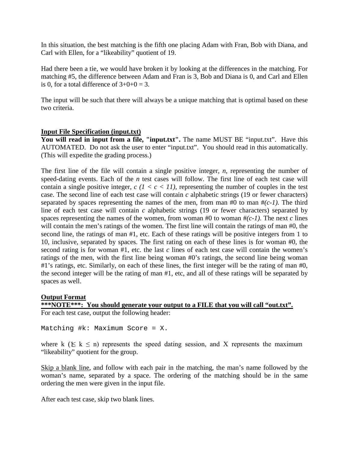In this situation, the best matching is the fifth one placing Adam with Fran, Bob with Diana, and Carl with Ellen, for a "likeability" quotient of 19.

Had there been a tie, we would have broken it by looking at the differences in the matching. For matching #5, the difference between Adam and Fran is 3, Bob and Diana is 0, and Carl and Ellen is 0, for a total difference of  $3+0+0=3$ .

The input will be such that there will always be a unique matching that is optimal based on these two criteria.

### **Input File Specification (input.txt)**

You will read in input from a file, "input.txt". The name MUST BE "input.txt". Have this AUTOMATED. Do not ask the user to enter "input.txt". You should read in this automatically. (This will expedite the grading process.)

The first line of the file will contain a single positive integer, *n*, representing the number of speed-dating events. Each of the *n* test cases will follow. The first line of each test case will contain a single positive integer,  $c$  ( $1 < c < 11$ ), representing the number of couples in the test case. The second line of each test case will contain *c* alphabetic strings (19 or fewer characters) separated by spaces representing the names of the men, from man  $#0$  to man  $#(c-1)$ . The third line of each test case will contain *c* alphabetic strings (19 or fewer characters) separated by spaces representing the names of the women, from woman #0 to woman  $\#(c-1)$ . The next *c* lines will contain the men's ratings of the women. The first line will contain the ratings of man #0, the second line, the ratings of man #1, etc. Each of these ratings will be positive integers from 1 to 10, inclusive, separated by spaces. The first rating on each of these lines is for woman #0, the second rating is for woman #1, etc. the last *c* lines of each test case will contain the women's ratings of the men, with the first line being woman #0's ratings, the second line being woman #1's ratings, etc. Similarly, on each of these lines, the first integer will be the rating of man #0, the second integer will be the rating of man #1, etc, and all of these ratings will be separated by spaces as well.

### **Output Format**

**\*\*\*NOTE\*\*\*: You should generate your output to a FILE that you will call "out.txt".** For each test case, output the following header:

Matching #k: Maximum Score = X.

where k ( $\leq k \leq n$ ) represents the speed dating session, and X represents the maximum "likeability" quotient for the group.

Skip a blank line, and follow with each pair in the matching, the man's name followed by the woman's name, separated by a space. The ordering of the matching should be in the same ordering the men were given in the input file.

After each test case, skip two blank lines.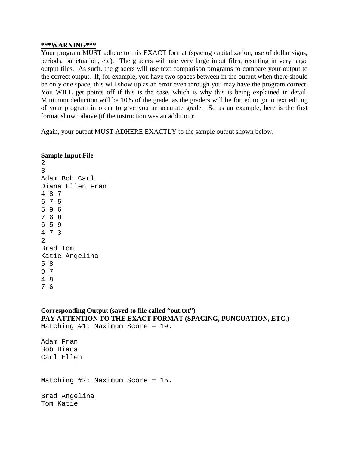#### **\*\*\*WARNING\*\*\***

Your program MUST adhere to this EXACT format (spacing capitalization, use of dollar signs, periods, punctuation, etc). The graders will use very large input files, resulting in very large output files. As such, the graders will use text comparison programs to compare your output to the correct output. If, for example, you have two spaces between in the output when there should be only one space, this will show up as an error even through you may have the program correct. You WILL get points off if this is the case, which is why this is being explained in detail. Minimum deduction will be 10% of the grade, as the graders will be forced to go to text editing of your program in order to give you an accurate grade. So as an example, here is the first format shown above (if the instruction was an addition):

Again, your output MUST ADHERE EXACTLY to the sample output shown below.

### **Sample Input File**

### **Corresponding Output (saved to file called "out.txt") PAY ATTENTION TO THE EXACT FORMAT (SPACING, PUNCUATION, ETC.)**

Matching #1: Maximum Score = 19.

Adam Fran Bob Diana Carl Ellen

Matching #2: Maximum Score = 15.

Brad Angelina Tom Katie